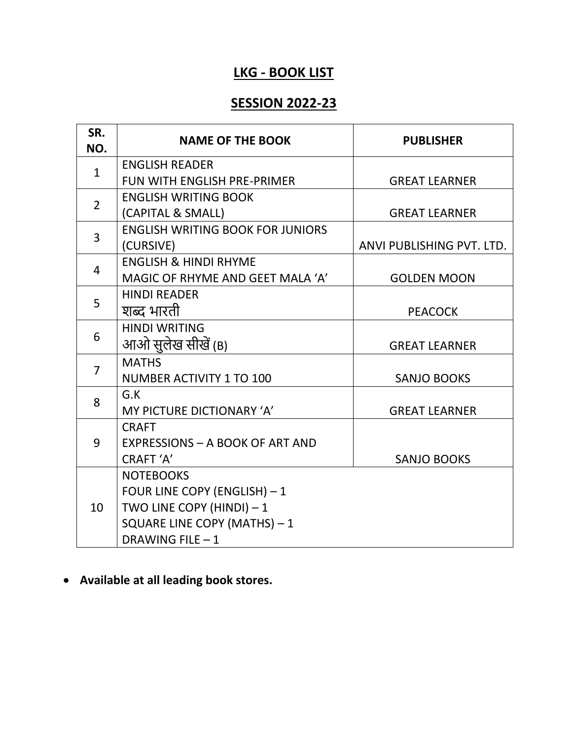## **LKG - BOOK LIST**

## **SESSION 2022-23**

| SR.<br>NO.     | <b>NAME OF THE BOOK</b>                 | <b>PUBLISHER</b>          |
|----------------|-----------------------------------------|---------------------------|
| $\mathbf{1}$   | <b>ENGLISH READER</b>                   |                           |
|                | <b>FUN WITH ENGLISH PRE-PRIMER</b>      | <b>GREAT LEARNER</b>      |
| $\overline{2}$ | <b>ENGLISH WRITING BOOK</b>             |                           |
|                | (CAPITAL & SMALL)                       | <b>GREAT LEARNER</b>      |
| 3              | <b>ENGLISH WRITING BOOK FOR JUNIORS</b> |                           |
|                | (CURSIVE)                               | ANVI PUBLISHING PVT. LTD. |
| 4              | <b>ENGLISH &amp; HINDI RHYME</b>        |                           |
|                | MAGIC OF RHYME AND GEET MALA 'A'        | <b>GOLDEN MOON</b>        |
| 5              | <b>HINDI READER</b>                     |                           |
|                | शब्द भारती                              | <b>PEACOCK</b>            |
| 6              | <b>HINDI WRITING</b>                    |                           |
|                | आओ सुलेख सीखें (B)                      | <b>GREAT LEARNER</b>      |
| $\overline{7}$ | <b>MATHS</b>                            |                           |
|                | <b>NUMBER ACTIVITY 1 TO 100</b>         | <b>SANJO BOOKS</b>        |
| 8              | G.K                                     |                           |
|                | MY PICTURE DICTIONARY 'A'               | <b>GREAT LEARNER</b>      |
| 9              | <b>CRAFT</b>                            |                           |
|                | <b>EXPRESSIONS - A BOOK OF ART AND</b>  |                           |
|                | CRAFT 'A'                               | <b>SANJO BOOKS</b>        |
| 10             | <b>NOTEBOOKS</b>                        |                           |
|                | FOUR LINE COPY (ENGLISH) - 1            |                           |
|                | TWO LINE COPY (HINDI) $-1$              |                           |
|                | SQUARE LINE COPY (MATHS) - 1            |                           |
|                | DRAWING FILE - 1                        |                           |

• **Available at all leading book stores.**